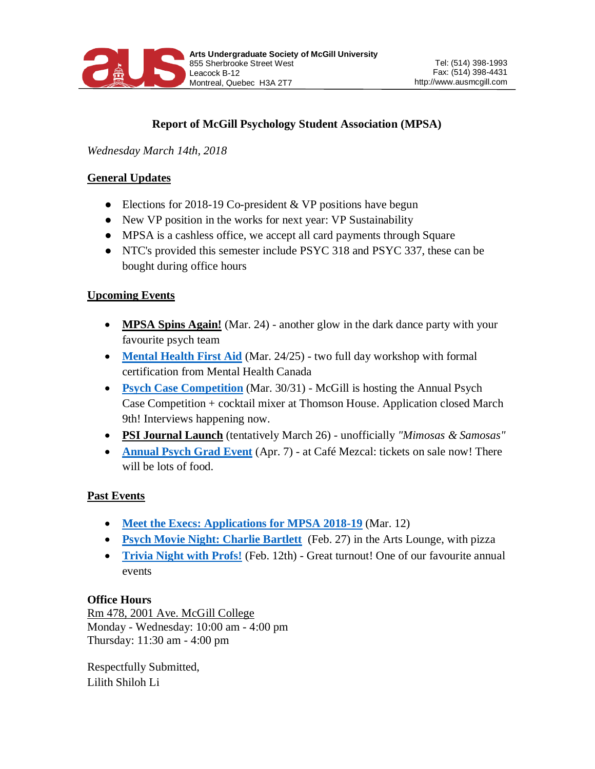

# **Report of McGill Psychology Student Association (MPSA)**

*Wednesday March 14th, 2018*

#### **General Updates**

- Elections for 2018-19 Co-president  $&$  VP positions have begun
- New VP position in the works for next year: VP Sustainability
- MPSA is a cashless office, we accept all card payments through Square
- NTC's provided this semester include PSYC 318 and PSYC 337, these can be bought during office hours

## **Upcoming Events**

- **MPSA Spins Again!** (Mar. 24) another glow in the dark dance party with your favourite psych team
- **[Mental Health First Aid](https://www.facebook.com/events/579927075678105/)** (Mar. 24/25) two full day workshop with formal certification from Mental Health Canada
- **[Psych Case Competition](https://www.facebook.com/events/170189537097325/)** (Mar. 30/31) McGill is hosting the Annual Psych Case Competition + cocktail mixer at Thomson House. Application closed March 9th! Interviews happening now.
- **PSI Journal Launch** (tentatively March 26) unofficially *"Mimosas & Samosas"*
- **[Annual Psych Grad Event](https://www.facebook.com/events/308078373053314/)** (Apr. 7) at Café Mezcal: tickets on sale now! There will be lots of food.

## **Past Events**

- **[Meet the Execs: Applications for MPSA 2018-19](https://www.facebook.com/events/1593525600702140/)** (Mar. 12)
- **[Psych Movie Night: Charlie Bartlett](https://www.facebook.com/events/1998356700205011/)** (Feb. 27) in the Arts Lounge, with pizza
- **[Trivia Night with Profs!](https://www.facebook.com/events/166632490635045/)** (Feb. 12th) Great turnout! One of our favourite annual events

#### **Office Hours**

Rm 478, 2001 Ave. McGill College Monday - Wednesday: 10:00 am - 4:00 pm Thursday: 11:30 am - 4:00 pm

Respectfully Submitted, Lilith Shiloh Li